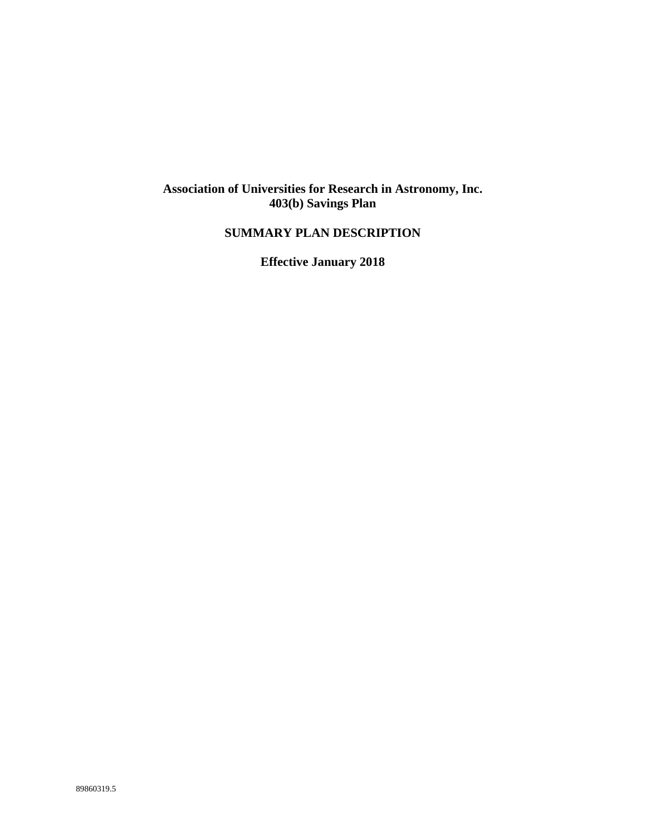# **Association of Universities for Research in Astronomy, Inc. 403(b) Savings Plan**

#### **SUMMARY PLAN DESCRIPTION**

**Effective January 2018**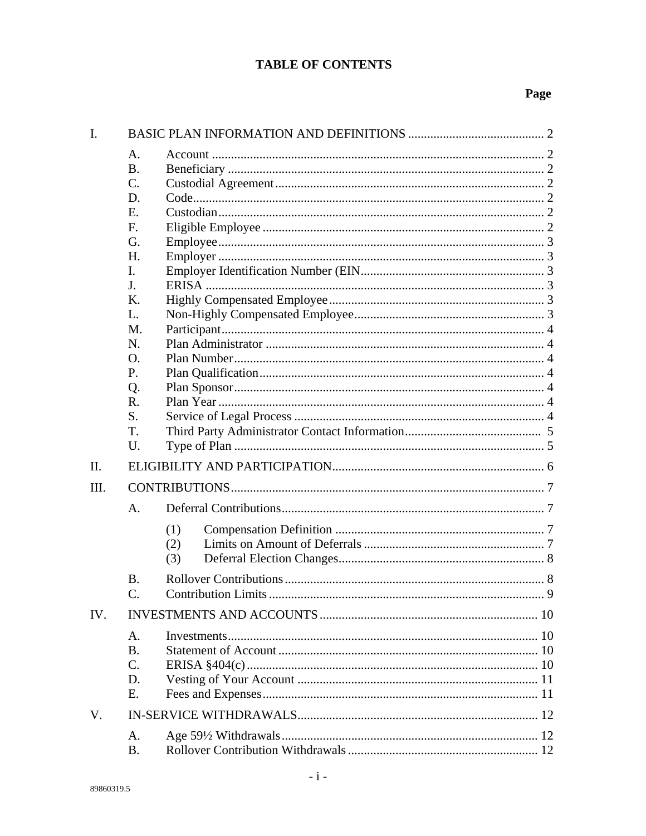# **TABLE OF CONTENTS**

# Page

| I.   |                 |     |  |  |  |  |  |
|------|-----------------|-----|--|--|--|--|--|
|      | A.              |     |  |  |  |  |  |
|      | <b>B.</b>       |     |  |  |  |  |  |
|      | $\mathcal{C}$ . |     |  |  |  |  |  |
|      | D.              |     |  |  |  |  |  |
|      | E.              |     |  |  |  |  |  |
|      | F <sub>r</sub>  |     |  |  |  |  |  |
|      | G.              |     |  |  |  |  |  |
|      | H.              |     |  |  |  |  |  |
|      | $\mathbf{I}$ .  |     |  |  |  |  |  |
|      | J.              |     |  |  |  |  |  |
|      | K.              |     |  |  |  |  |  |
|      | L.              |     |  |  |  |  |  |
|      | M.              |     |  |  |  |  |  |
|      | N.              |     |  |  |  |  |  |
|      | Ο.              |     |  |  |  |  |  |
|      | P.              |     |  |  |  |  |  |
|      | Q.              |     |  |  |  |  |  |
|      | $R_{\cdot}$     |     |  |  |  |  |  |
|      | S.              |     |  |  |  |  |  |
|      | T.              |     |  |  |  |  |  |
|      | U.              |     |  |  |  |  |  |
| II.  |                 |     |  |  |  |  |  |
| III. |                 |     |  |  |  |  |  |
|      |                 |     |  |  |  |  |  |
|      | A.              |     |  |  |  |  |  |
|      |                 | (1) |  |  |  |  |  |
|      |                 | (2) |  |  |  |  |  |
|      |                 | (3) |  |  |  |  |  |
|      | <b>B.</b>       |     |  |  |  |  |  |
|      | $\mathcal{C}$ . |     |  |  |  |  |  |
|      |                 |     |  |  |  |  |  |
| IV.  |                 |     |  |  |  |  |  |
|      | $\mathsf{A}$ .  |     |  |  |  |  |  |
|      | <b>B.</b>       |     |  |  |  |  |  |
|      | $\mathcal{C}$ . |     |  |  |  |  |  |
|      | D.              |     |  |  |  |  |  |
|      | E.              |     |  |  |  |  |  |
| V.   |                 |     |  |  |  |  |  |
|      |                 | A.  |  |  |  |  |  |
|      | <b>B.</b>       |     |  |  |  |  |  |
|      |                 |     |  |  |  |  |  |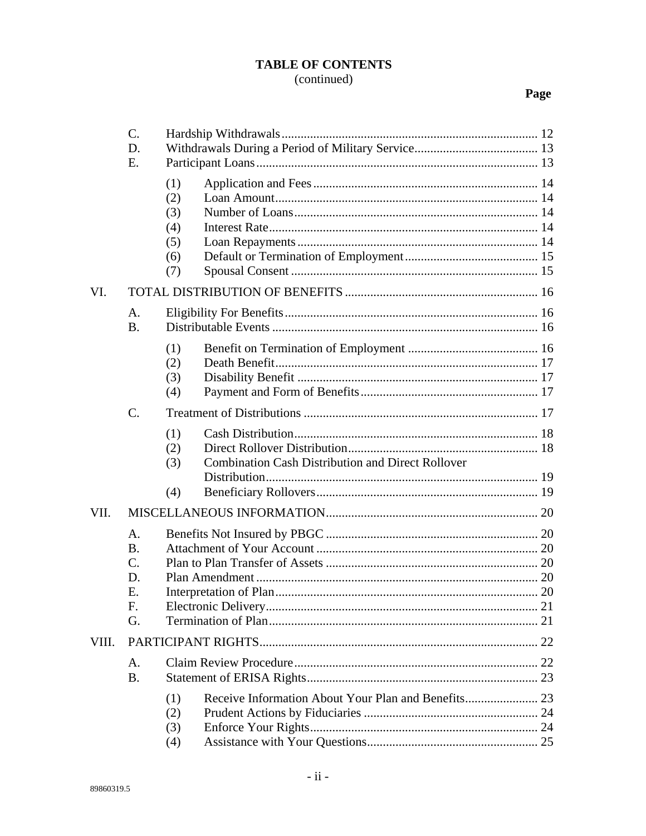# **TABLE OF CONTENTS**

# (continued)

# Page

|       | C.<br>D.<br>E.           |                                                                               |  |  |  |
|-------|--------------------------|-------------------------------------------------------------------------------|--|--|--|
|       |                          | (1)<br>(2)<br>(3)<br>(4)<br>(5)<br>(6)<br>(7)                                 |  |  |  |
| VI.   |                          |                                                                               |  |  |  |
|       | $A_{\cdot}$<br><b>B.</b> |                                                                               |  |  |  |
|       |                          | (1)<br>(2)<br>(3)<br>(4)                                                      |  |  |  |
|       | $\mathcal{C}$ .          |                                                                               |  |  |  |
|       |                          | (1)<br>(2)<br><b>Combination Cash Distribution and Direct Rollover</b><br>(3) |  |  |  |
|       |                          | (4)                                                                           |  |  |  |
| VII.  |                          |                                                                               |  |  |  |
|       | A.<br><b>B.</b>          |                                                                               |  |  |  |
|       | $C$ .                    |                                                                               |  |  |  |
|       | D.                       |                                                                               |  |  |  |
|       | Ε.<br>F.                 |                                                                               |  |  |  |
|       | G.                       |                                                                               |  |  |  |
| VIII. |                          |                                                                               |  |  |  |
|       | A.                       |                                                                               |  |  |  |
|       | <b>B.</b>                |                                                                               |  |  |  |
|       |                          | (1)<br>(2)                                                                    |  |  |  |
|       |                          | (3)                                                                           |  |  |  |
|       |                          | (4)                                                                           |  |  |  |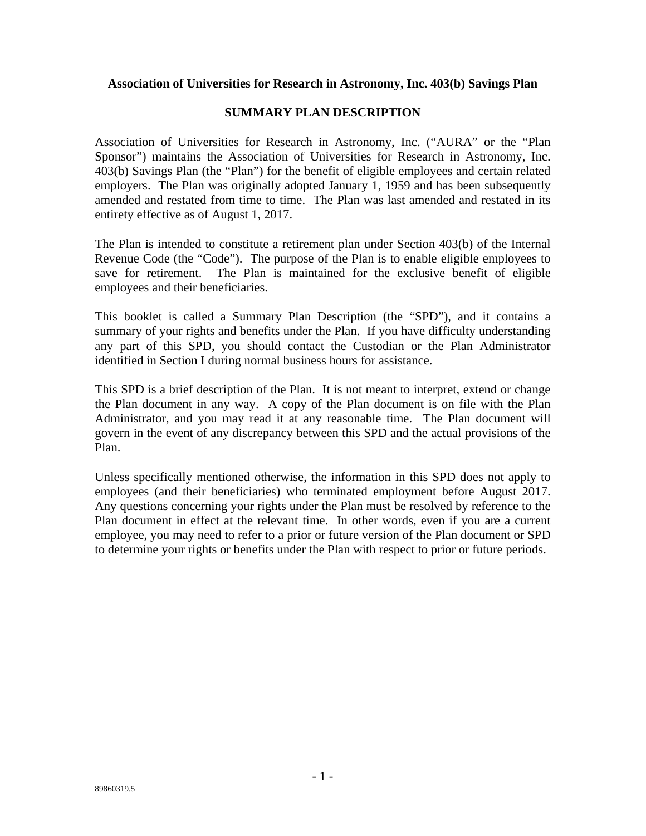#### **Association of Universities for Research in Astronomy, Inc. 403(b) Savings Plan**

#### **SUMMARY PLAN DESCRIPTION**

Association of Universities for Research in Astronomy, Inc. ("AURA" or the "Plan Sponsor") maintains the Association of Universities for Research in Astronomy, Inc. 403(b) Savings Plan (the "Plan") for the benefit of eligible employees and certain related employers. The Plan was originally adopted January 1, 1959 and has been subsequently amended and restated from time to time. The Plan was last amended and restated in its entirety effective as of August 1, 2017.

The Plan is intended to constitute a retirement plan under Section 403(b) of the Internal Revenue Code (the "Code"). The purpose of the Plan is to enable eligible employees to save for retirement. The Plan is maintained for the exclusive benefit of eligible employees and their beneficiaries.

This booklet is called a Summary Plan Description (the "SPD"), and it contains a summary of your rights and benefits under the Plan. If you have difficulty understanding any part of this SPD, you should contact the Custodian or the Plan Administrator identified in Section I during normal business hours for assistance.

This SPD is a brief description of the Plan. It is not meant to interpret, extend or change the Plan document in any way. A copy of the Plan document is on file with the Plan Administrator, and you may read it at any reasonable time. The Plan document will govern in the event of any discrepancy between this SPD and the actual provisions of the Plan.

Unless specifically mentioned otherwise, the information in this SPD does not apply to employees (and their beneficiaries) who terminated employment before August 2017. Any questions concerning your rights under the Plan must be resolved by reference to the Plan document in effect at the relevant time. In other words, even if you are a current employee, you may need to refer to a prior or future version of the Plan document or SPD to determine your rights or benefits under the Plan with respect to prior or future periods.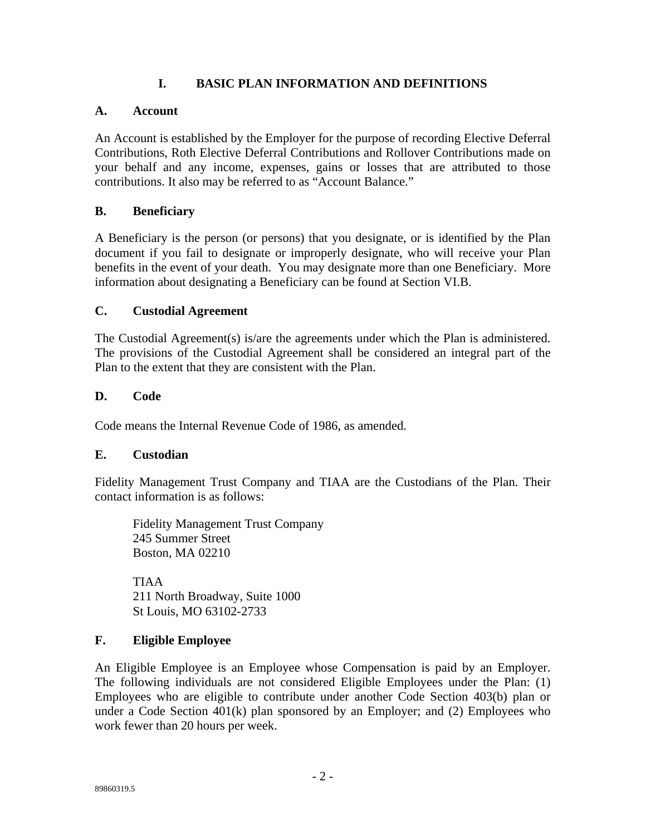# **I. BASIC PLAN INFORMATION AND DEFINITIONS**

#### **A. Account**

An Account is established by the Employer for the purpose of recording Elective Deferral Contributions, Roth Elective Deferral Contributions and Rollover Contributions made on your behalf and any income, expenses, gains or losses that are attributed to those contributions. It also may be referred to as "Account Balance."

# **B. Beneficiary**

A Beneficiary is the person (or persons) that you designate, or is identified by the Plan document if you fail to designate or improperly designate, who will receive your Plan benefits in the event of your death. You may designate more than one Beneficiary. More information about designating a Beneficiary can be found at Section VI.B.

## **C. Custodial Agreement**

The Custodial Agreement(s) is/are the agreements under which the Plan is administered. The provisions of the Custodial Agreement shall be considered an integral part of the Plan to the extent that they are consistent with the Plan.

#### **D. Code**

Code means the Internal Revenue Code of 1986, as amended.

#### **E. Custodian**

Fidelity Management Trust Company and TIAA are the Custodians of the Plan. Their contact information is as follows:

Fidelity Management Trust Company 245 Summer Street Boston, MA 02210

TIAA 211 North Broadway, Suite 1000 St Louis, MO 63102-2733

# **F. Eligible Employee**

An Eligible Employee is an Employee whose Compensation is paid by an Employer. The following individuals are not considered Eligible Employees under the Plan: (1) Employees who are eligible to contribute under another Code Section 403(b) plan or under a Code Section 401(k) plan sponsored by an Employer; and (2) Employees who work fewer than 20 hours per week.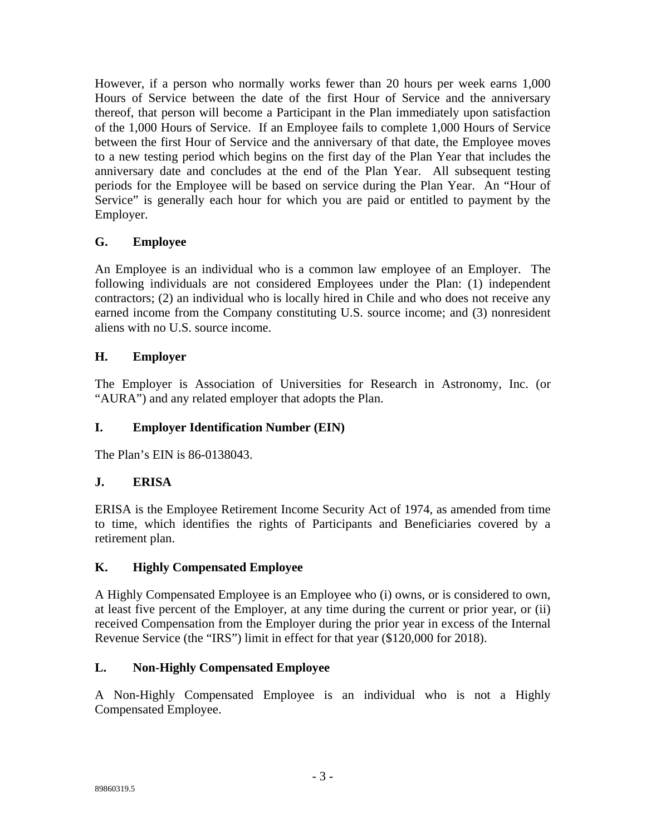However, if a person who normally works fewer than 20 hours per week earns 1,000 Hours of Service between the date of the first Hour of Service and the anniversary thereof, that person will become a Participant in the Plan immediately upon satisfaction of the 1,000 Hours of Service. If an Employee fails to complete 1,000 Hours of Service between the first Hour of Service and the anniversary of that date, the Employee moves to a new testing period which begins on the first day of the Plan Year that includes the anniversary date and concludes at the end of the Plan Year. All subsequent testing periods for the Employee will be based on service during the Plan Year. An "Hour of Service" is generally each hour for which you are paid or entitled to payment by the Employer.

# **G. Employee**

An Employee is an individual who is a common law employee of an Employer. The following individuals are not considered Employees under the Plan: (1) independent contractors; (2) an individual who is locally hired in Chile and who does not receive any earned income from the Company constituting U.S. source income; and (3) nonresident aliens with no U.S. source income.

# **H. Employer**

The Employer is Association of Universities for Research in Astronomy, Inc. (or "AURA") and any related employer that adopts the Plan.

# **I. Employer Identification Number (EIN)**

The Plan's EIN is 86-0138043.

# **J. ERISA**

ERISA is the Employee Retirement Income Security Act of 1974, as amended from time to time, which identifies the rights of Participants and Beneficiaries covered by a retirement plan.

# **K. Highly Compensated Employee**

A Highly Compensated Employee is an Employee who (i) owns, or is considered to own, at least five percent of the Employer, at any time during the current or prior year, or (ii) received Compensation from the Employer during the prior year in excess of the Internal Revenue Service (the "IRS") limit in effect for that year (\$120,000 for 2018).

# **L. Non-Highly Compensated Employee**

A Non-Highly Compensated Employee is an individual who is not a Highly Compensated Employee.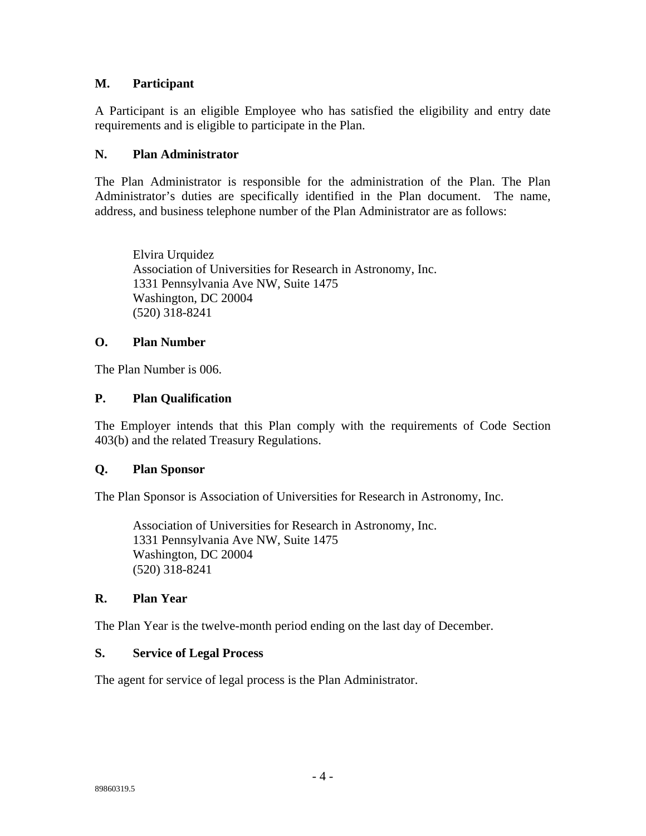# **M. Participant**

A Participant is an eligible Employee who has satisfied the eligibility and entry date requirements and is eligible to participate in the Plan.

#### **N. Plan Administrator**

The Plan Administrator is responsible for the administration of the Plan. The Plan Administrator's duties are specifically identified in the Plan document. The name, address, and business telephone number of the Plan Administrator are as follows:

Elvira Urquidez Association of Universities for Research in Astronomy, Inc. 1331 Pennsylvania Ave NW, Suite 1475 Washington, DC 20004 (520) 318-8241

## **O. Plan Number**

The Plan Number is 006.

## **P. Plan Qualification**

The Employer intends that this Plan comply with the requirements of Code Section 403(b) and the related Treasury Regulations.

#### **Q. Plan Sponsor**

The Plan Sponsor is Association of Universities for Research in Astronomy, Inc.

Association of Universities for Research in Astronomy, Inc. 1331 Pennsylvania Ave NW, Suite 1475 Washington, DC 20004 (520) 318-8241

#### **R. Plan Year**

The Plan Year is the twelve-month period ending on the last day of December.

#### **S. Service of Legal Process**

The agent for service of legal process is the Plan Administrator.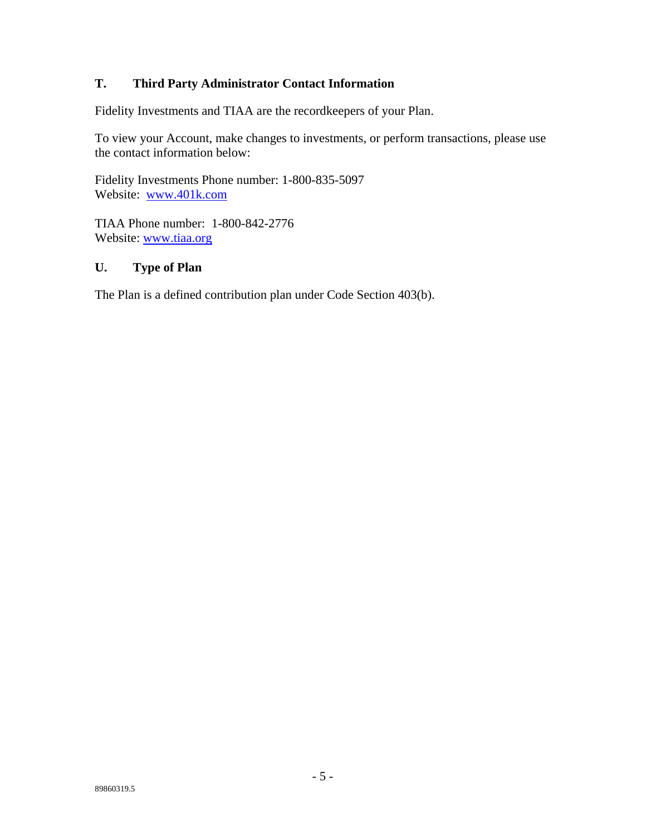# **T. Third Party Administrator Contact Information**

Fidelity Investments and TIAA are the recordkeepers of your Plan.

To view your Account, make changes to investments, or perform transactions, please use the contact information below:

Fidelity Investments Phone number: 1-800-835-5097 Website: www.401k.com

TIAA Phone number: 1-800-842-2776 Website: www.tiaa.org

## **U. Type of Plan**

The Plan is a defined contribution plan under Code Section 403(b).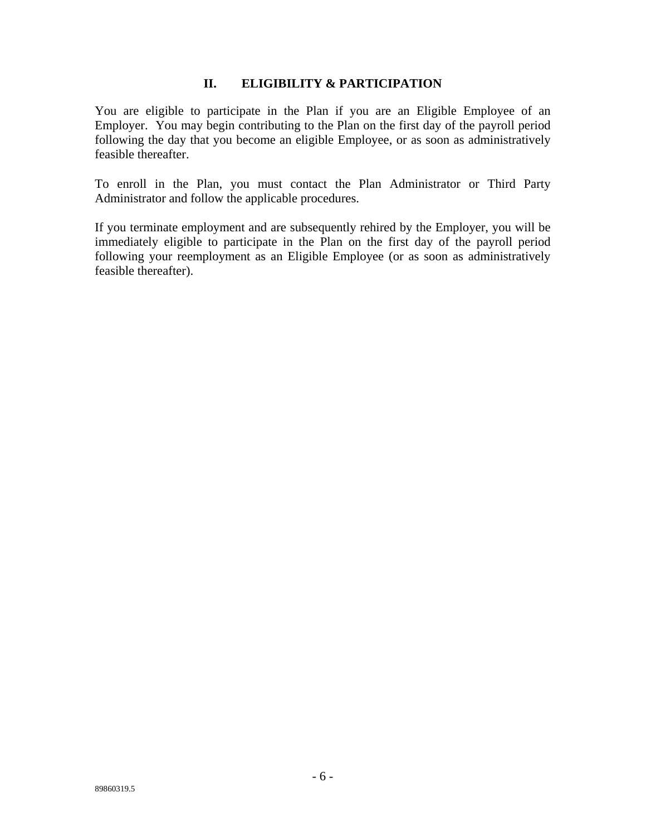# **II. ELIGIBILITY & PARTICIPATION**

You are eligible to participate in the Plan if you are an Eligible Employee of an Employer. You may begin contributing to the Plan on the first day of the payroll period following the day that you become an eligible Employee, or as soon as administratively feasible thereafter.

To enroll in the Plan, you must contact the Plan Administrator or Third Party Administrator and follow the applicable procedures.

If you terminate employment and are subsequently rehired by the Employer, you will be immediately eligible to participate in the Plan on the first day of the payroll period following your reemployment as an Eligible Employee (or as soon as administratively feasible thereafter).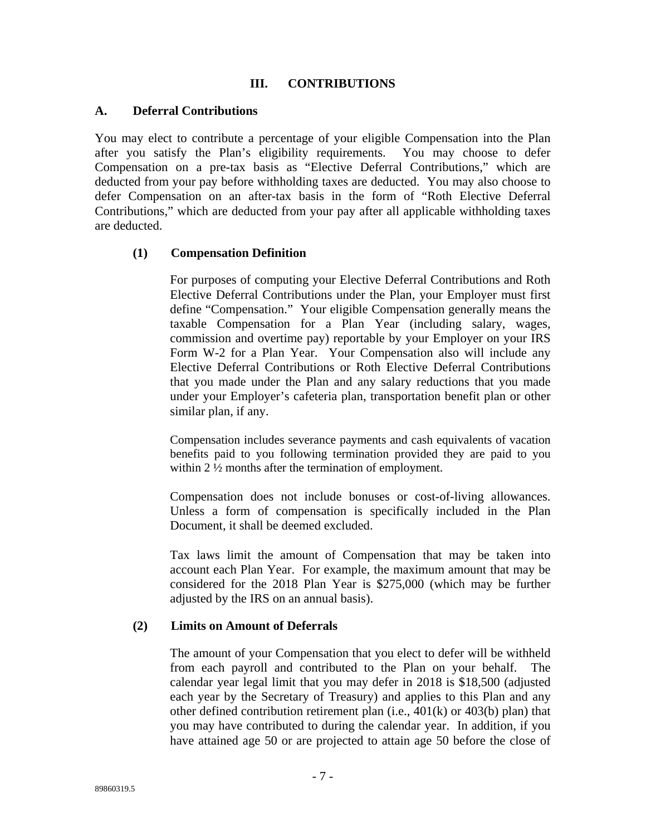#### **III. CONTRIBUTIONS**

#### **A. Deferral Contributions**

You may elect to contribute a percentage of your eligible Compensation into the Plan after you satisfy the Plan's eligibility requirements. You may choose to defer Compensation on a pre-tax basis as "Elective Deferral Contributions," which are deducted from your pay before withholding taxes are deducted. You may also choose to defer Compensation on an after-tax basis in the form of "Roth Elective Deferral Contributions," which are deducted from your pay after all applicable withholding taxes are deducted.

#### **(1) Compensation Definition**

For purposes of computing your Elective Deferral Contributions and Roth Elective Deferral Contributions under the Plan, your Employer must first define "Compensation." Your eligible Compensation generally means the taxable Compensation for a Plan Year (including salary, wages, commission and overtime pay) reportable by your Employer on your IRS Form W-2 for a Plan Year. Your Compensation also will include any Elective Deferral Contributions or Roth Elective Deferral Contributions that you made under the Plan and any salary reductions that you made under your Employer's cafeteria plan, transportation benefit plan or other similar plan, if any.

Compensation includes severance payments and cash equivalents of vacation benefits paid to you following termination provided they are paid to you within 2  $\frac{1}{2}$  months after the termination of employment.

Compensation does not include bonuses or cost-of-living allowances. Unless a form of compensation is specifically included in the Plan Document, it shall be deemed excluded.

Tax laws limit the amount of Compensation that may be taken into account each Plan Year. For example, the maximum amount that may be considered for the 2018 Plan Year is \$275,000 (which may be further adjusted by the IRS on an annual basis).

#### **(2) Limits on Amount of Deferrals**

The amount of your Compensation that you elect to defer will be withheld from each payroll and contributed to the Plan on your behalf. The calendar year legal limit that you may defer in 2018 is \$18,500 (adjusted each year by the Secretary of Treasury) and applies to this Plan and any other defined contribution retirement plan (i.e., 401(k) or 403(b) plan) that you may have contributed to during the calendar year. In addition, if you have attained age 50 or are projected to attain age 50 before the close of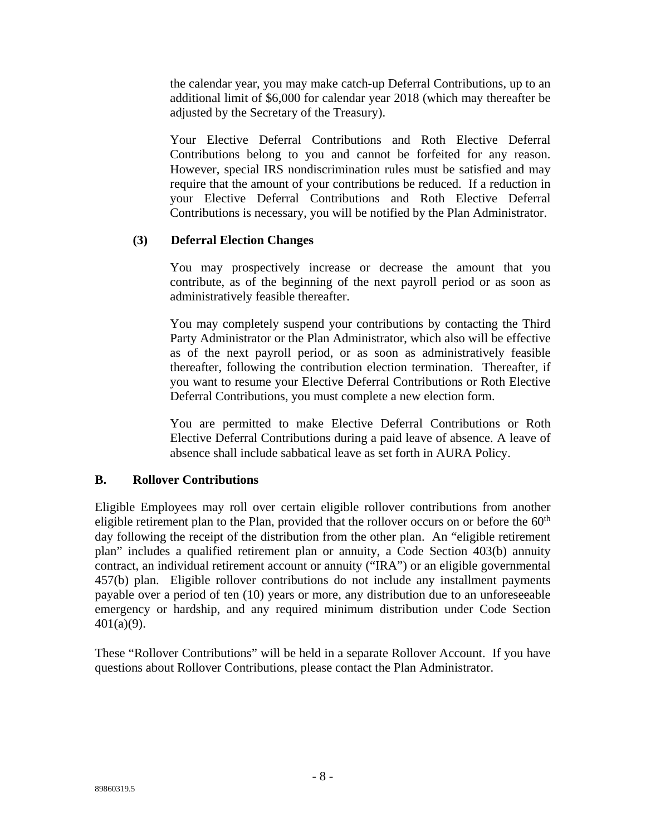the calendar year, you may make catch-up Deferral Contributions, up to an additional limit of \$6,000 for calendar year 2018 (which may thereafter be adjusted by the Secretary of the Treasury).

Your Elective Deferral Contributions and Roth Elective Deferral Contributions belong to you and cannot be forfeited for any reason. However, special IRS nondiscrimination rules must be satisfied and may require that the amount of your contributions be reduced. If a reduction in your Elective Deferral Contributions and Roth Elective Deferral Contributions is necessary, you will be notified by the Plan Administrator.

## **(3) Deferral Election Changes**

You may prospectively increase or decrease the amount that you contribute, as of the beginning of the next payroll period or as soon as administratively feasible thereafter.

You may completely suspend your contributions by contacting the Third Party Administrator or the Plan Administrator, which also will be effective as of the next payroll period, or as soon as administratively feasible thereafter, following the contribution election termination. Thereafter, if you want to resume your Elective Deferral Contributions or Roth Elective Deferral Contributions, you must complete a new election form.

You are permitted to make Elective Deferral Contributions or Roth Elective Deferral Contributions during a paid leave of absence. A leave of absence shall include sabbatical leave as set forth in AURA Policy.

#### **B. Rollover Contributions**

Eligible Employees may roll over certain eligible rollover contributions from another eligible retirement plan to the Plan, provided that the rollover occurs on or before the  $60<sup>th</sup>$ day following the receipt of the distribution from the other plan. An "eligible retirement plan" includes a qualified retirement plan or annuity, a Code Section 403(b) annuity contract, an individual retirement account or annuity ("IRA") or an eligible governmental 457(b) plan. Eligible rollover contributions do not include any installment payments payable over a period of ten (10) years or more, any distribution due to an unforeseeable emergency or hardship, and any required minimum distribution under Code Section 401(a)(9).

These "Rollover Contributions" will be held in a separate Rollover Account. If you have questions about Rollover Contributions, please contact the Plan Administrator.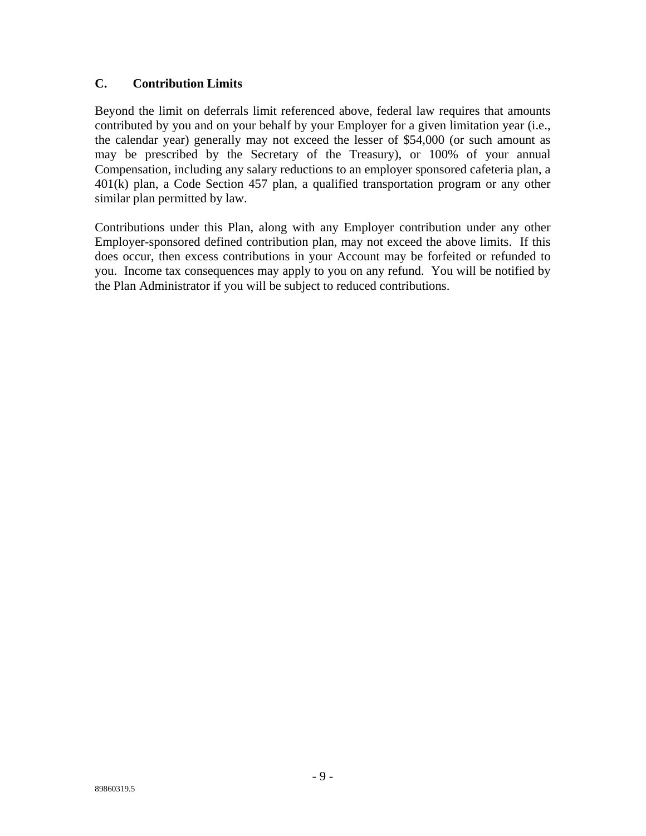# **C. Contribution Limits**

Beyond the limit on deferrals limit referenced above, federal law requires that amounts contributed by you and on your behalf by your Employer for a given limitation year (i.e., the calendar year) generally may not exceed the lesser of \$54,000 (or such amount as may be prescribed by the Secretary of the Treasury), or 100% of your annual Compensation, including any salary reductions to an employer sponsored cafeteria plan, a 401(k) plan, a Code Section 457 plan, a qualified transportation program or any other similar plan permitted by law.

Contributions under this Plan, along with any Employer contribution under any other Employer-sponsored defined contribution plan, may not exceed the above limits. If this does occur, then excess contributions in your Account may be forfeited or refunded to you. Income tax consequences may apply to you on any refund. You will be notified by the Plan Administrator if you will be subject to reduced contributions.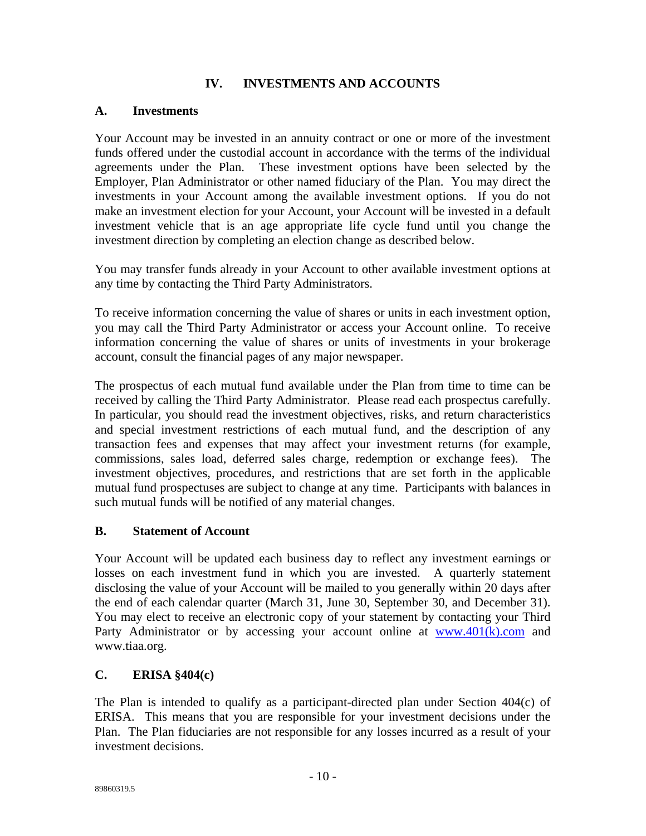# **IV. INVESTMENTS AND ACCOUNTS**

## **A. Investments**

Your Account may be invested in an annuity contract or one or more of the investment funds offered under the custodial account in accordance with the terms of the individual agreements under the Plan. These investment options have been selected by the Employer, Plan Administrator or other named fiduciary of the Plan. You may direct the investments in your Account among the available investment options. If you do not make an investment election for your Account, your Account will be invested in a default investment vehicle that is an age appropriate life cycle fund until you change the investment direction by completing an election change as described below.

You may transfer funds already in your Account to other available investment options at any time by contacting the Third Party Administrators.

To receive information concerning the value of shares or units in each investment option, you may call the Third Party Administrator or access your Account online. To receive information concerning the value of shares or units of investments in your brokerage account, consult the financial pages of any major newspaper.

The prospectus of each mutual fund available under the Plan from time to time can be received by calling the Third Party Administrator. Please read each prospectus carefully. In particular, you should read the investment objectives, risks, and return characteristics and special investment restrictions of each mutual fund, and the description of any transaction fees and expenses that may affect your investment returns (for example, commissions, sales load, deferred sales charge, redemption or exchange fees). The investment objectives, procedures, and restrictions that are set forth in the applicable mutual fund prospectuses are subject to change at any time. Participants with balances in such mutual funds will be notified of any material changes.

# **B. Statement of Account**

Your Account will be updated each business day to reflect any investment earnings or losses on each investment fund in which you are invested. A quarterly statement disclosing the value of your Account will be mailed to you generally within 20 days after the end of each calendar quarter (March 31, June 30, September 30, and December 31). You may elect to receive an electronic copy of your statement by contacting your Third Party Administrator or by accessing your account online at www.401(k).com and www.tiaa.org.

# **C. ERISA §404(c)**

The Plan is intended to qualify as a participant-directed plan under Section 404(c) of ERISA. This means that you are responsible for your investment decisions under the Plan. The Plan fiduciaries are not responsible for any losses incurred as a result of your investment decisions.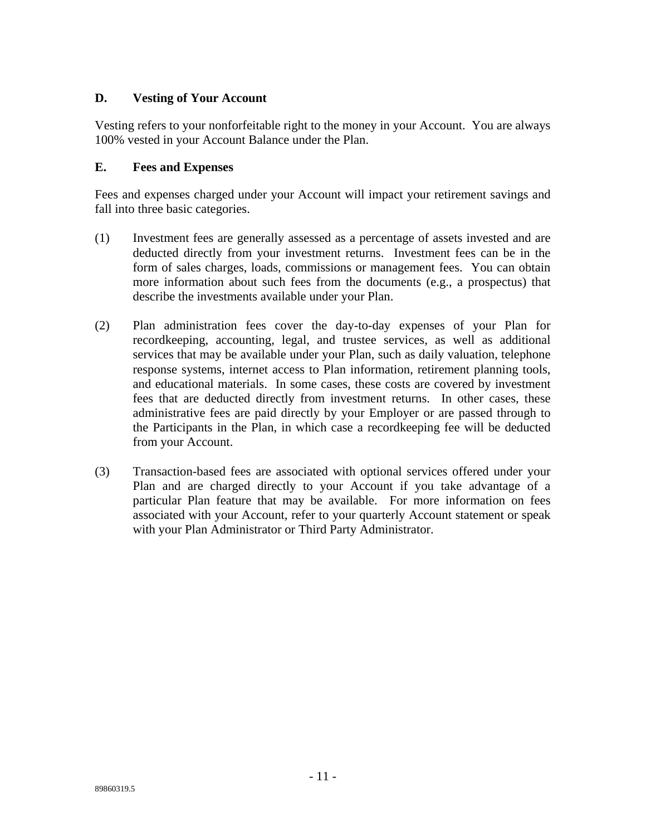# **D. Vesting of Your Account**

Vesting refers to your nonforfeitable right to the money in your Account. You are always 100% vested in your Account Balance under the Plan.

## **E. Fees and Expenses**

Fees and expenses charged under your Account will impact your retirement savings and fall into three basic categories.

- (1) Investment fees are generally assessed as a percentage of assets invested and are deducted directly from your investment returns. Investment fees can be in the form of sales charges, loads, commissions or management fees. You can obtain more information about such fees from the documents (e.g., a prospectus) that describe the investments available under your Plan.
- (2) Plan administration fees cover the day-to-day expenses of your Plan for recordkeeping, accounting, legal, and trustee services, as well as additional services that may be available under your Plan, such as daily valuation, telephone response systems, internet access to Plan information, retirement planning tools, and educational materials. In some cases, these costs are covered by investment fees that are deducted directly from investment returns. In other cases, these administrative fees are paid directly by your Employer or are passed through to the Participants in the Plan, in which case a recordkeeping fee will be deducted from your Account.
- (3) Transaction-based fees are associated with optional services offered under your Plan and are charged directly to your Account if you take advantage of a particular Plan feature that may be available. For more information on fees associated with your Account, refer to your quarterly Account statement or speak with your Plan Administrator or Third Party Administrator.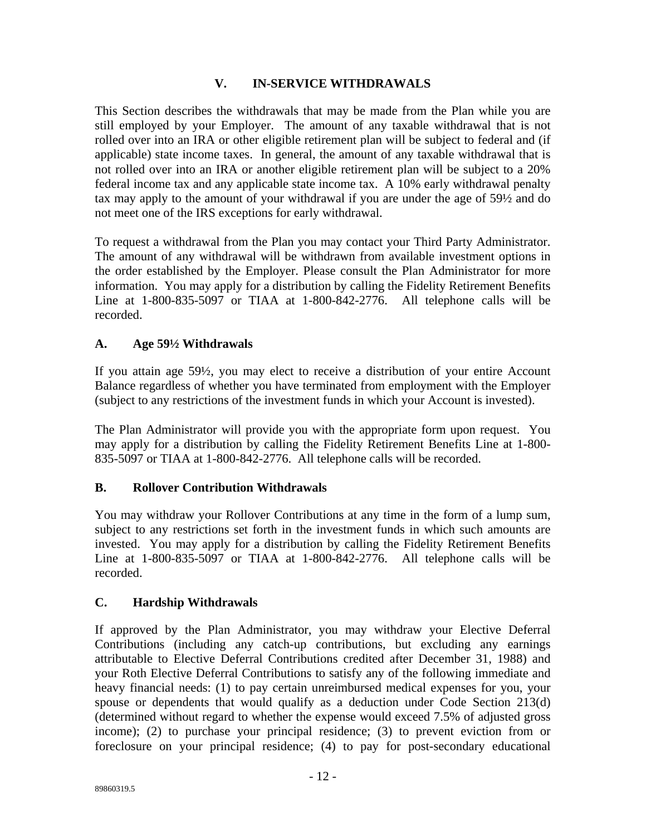# **V. IN-SERVICE WITHDRAWALS**

This Section describes the withdrawals that may be made from the Plan while you are still employed by your Employer. The amount of any taxable withdrawal that is not rolled over into an IRA or other eligible retirement plan will be subject to federal and (if applicable) state income taxes. In general, the amount of any taxable withdrawal that is not rolled over into an IRA or another eligible retirement plan will be subject to a 20% federal income tax and any applicable state income tax. A 10% early withdrawal penalty tax may apply to the amount of your withdrawal if you are under the age of 59½ and do not meet one of the IRS exceptions for early withdrawal.

To request a withdrawal from the Plan you may contact your Third Party Administrator. The amount of any withdrawal will be withdrawn from available investment options in the order established by the Employer. Please consult the Plan Administrator for more information. You may apply for a distribution by calling the Fidelity Retirement Benefits Line at 1-800-835-5097 or TIAA at 1-800-842-2776. All telephone calls will be recorded.

## **A. Age 59½ Withdrawals**

If you attain age 59½, you may elect to receive a distribution of your entire Account Balance regardless of whether you have terminated from employment with the Employer (subject to any restrictions of the investment funds in which your Account is invested).

The Plan Administrator will provide you with the appropriate form upon request. You may apply for a distribution by calling the Fidelity Retirement Benefits Line at 1-800- 835-5097 or TIAA at 1-800-842-2776. All telephone calls will be recorded.

#### **B. Rollover Contribution Withdrawals**

You may withdraw your Rollover Contributions at any time in the form of a lump sum, subject to any restrictions set forth in the investment funds in which such amounts are invested. You may apply for a distribution by calling the Fidelity Retirement Benefits Line at 1-800-835-5097 or TIAA at 1-800-842-2776. All telephone calls will be recorded.

#### **C. Hardship Withdrawals**

If approved by the Plan Administrator, you may withdraw your Elective Deferral Contributions (including any catch-up contributions, but excluding any earnings attributable to Elective Deferral Contributions credited after December 31, 1988) and your Roth Elective Deferral Contributions to satisfy any of the following immediate and heavy financial needs: (1) to pay certain unreimbursed medical expenses for you, your spouse or dependents that would qualify as a deduction under Code Section 213(d) (determined without regard to whether the expense would exceed 7.5% of adjusted gross income); (2) to purchase your principal residence; (3) to prevent eviction from or foreclosure on your principal residence; (4) to pay for post-secondary educational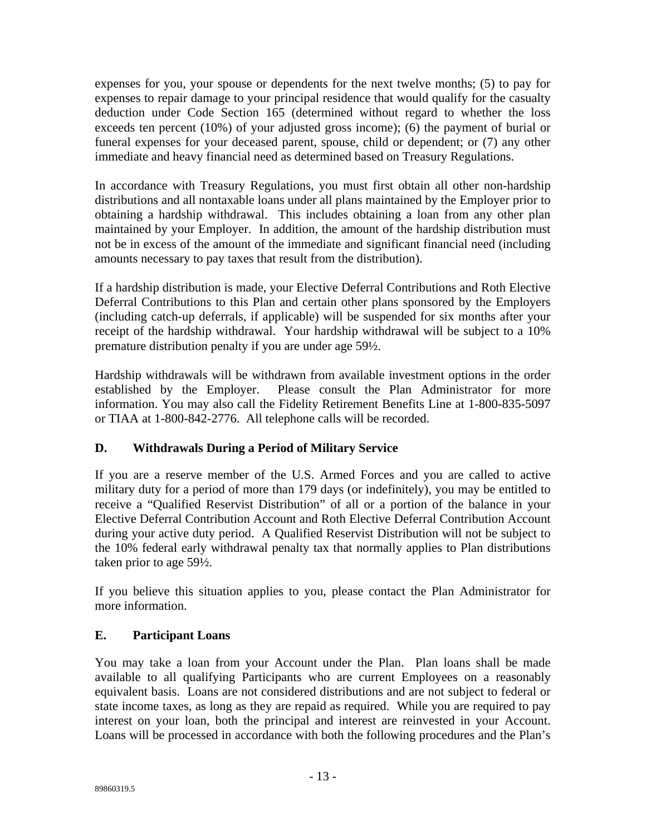expenses for you, your spouse or dependents for the next twelve months; (5) to pay for expenses to repair damage to your principal residence that would qualify for the casualty deduction under Code Section 165 (determined without regard to whether the loss exceeds ten percent (10%) of your adjusted gross income); (6) the payment of burial or funeral expenses for your deceased parent, spouse, child or dependent; or (7) any other immediate and heavy financial need as determined based on Treasury Regulations.

In accordance with Treasury Regulations, you must first obtain all other non-hardship distributions and all nontaxable loans under all plans maintained by the Employer prior to obtaining a hardship withdrawal. This includes obtaining a loan from any other plan maintained by your Employer. In addition, the amount of the hardship distribution must not be in excess of the amount of the immediate and significant financial need (including amounts necessary to pay taxes that result from the distribution).

If a hardship distribution is made, your Elective Deferral Contributions and Roth Elective Deferral Contributions to this Plan and certain other plans sponsored by the Employers (including catch-up deferrals, if applicable) will be suspended for six months after your receipt of the hardship withdrawal. Your hardship withdrawal will be subject to a 10% premature distribution penalty if you are under age 59½.

Hardship withdrawals will be withdrawn from available investment options in the order established by the Employer. Please consult the Plan Administrator for more information. You may also call the Fidelity Retirement Benefits Line at 1-800-835-5097 or TIAA at 1-800-842-2776. All telephone calls will be recorded.

# **D. Withdrawals During a Period of Military Service**

If you are a reserve member of the U.S. Armed Forces and you are called to active military duty for a period of more than 179 days (or indefinitely), you may be entitled to receive a "Qualified Reservist Distribution" of all or a portion of the balance in your Elective Deferral Contribution Account and Roth Elective Deferral Contribution Account during your active duty period. A Qualified Reservist Distribution will not be subject to the 10% federal early withdrawal penalty tax that normally applies to Plan distributions taken prior to age 59½.

If you believe this situation applies to you, please contact the Plan Administrator for more information.

# **E. Participant Loans**

You may take a loan from your Account under the Plan. Plan loans shall be made available to all qualifying Participants who are current Employees on a reasonably equivalent basis. Loans are not considered distributions and are not subject to federal or state income taxes, as long as they are repaid as required. While you are required to pay interest on your loan, both the principal and interest are reinvested in your Account. Loans will be processed in accordance with both the following procedures and the Plan's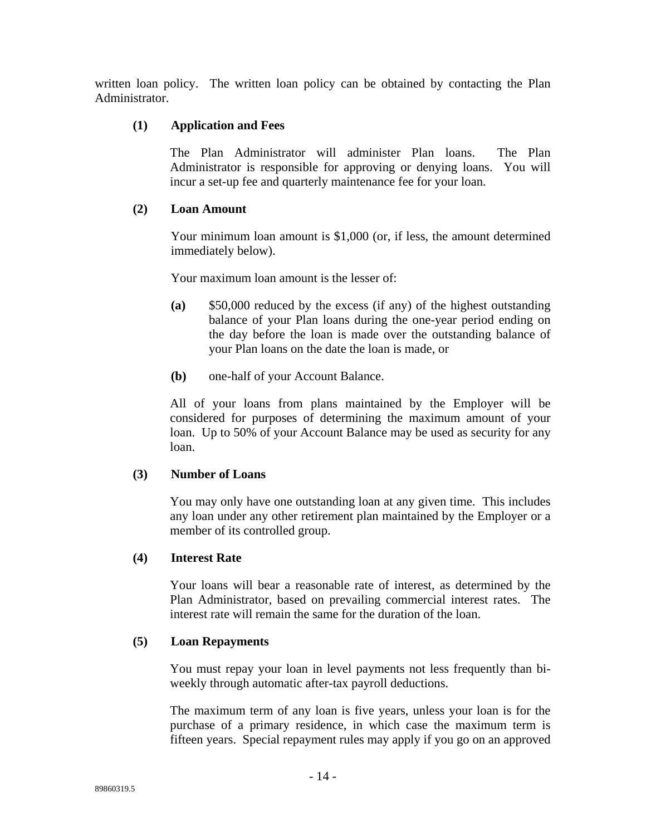written loan policy. The written loan policy can be obtained by contacting the Plan Administrator.

## **(1) Application and Fees**

The Plan Administrator will administer Plan loans. The Plan Administrator is responsible for approving or denying loans. You will incur a set-up fee and quarterly maintenance fee for your loan.

#### **(2) Loan Amount**

Your minimum loan amount is \$1,000 (or, if less, the amount determined immediately below).

Your maximum loan amount is the lesser of:

- **(a)** \$50,000 reduced by the excess (if any) of the highest outstanding balance of your Plan loans during the one-year period ending on the day before the loan is made over the outstanding balance of your Plan loans on the date the loan is made, or
- **(b)** one-half of your Account Balance.

All of your loans from plans maintained by the Employer will be considered for purposes of determining the maximum amount of your loan. Up to 50% of your Account Balance may be used as security for any loan.

#### **(3) Number of Loans**

You may only have one outstanding loan at any given time. This includes any loan under any other retirement plan maintained by the Employer or a member of its controlled group.

#### **(4) Interest Rate**

Your loans will bear a reasonable rate of interest, as determined by the Plan Administrator, based on prevailing commercial interest rates. The interest rate will remain the same for the duration of the loan.

#### **(5) Loan Repayments**

You must repay your loan in level payments not less frequently than biweekly through automatic after-tax payroll deductions.

The maximum term of any loan is five years, unless your loan is for the purchase of a primary residence, in which case the maximum term is fifteen years. Special repayment rules may apply if you go on an approved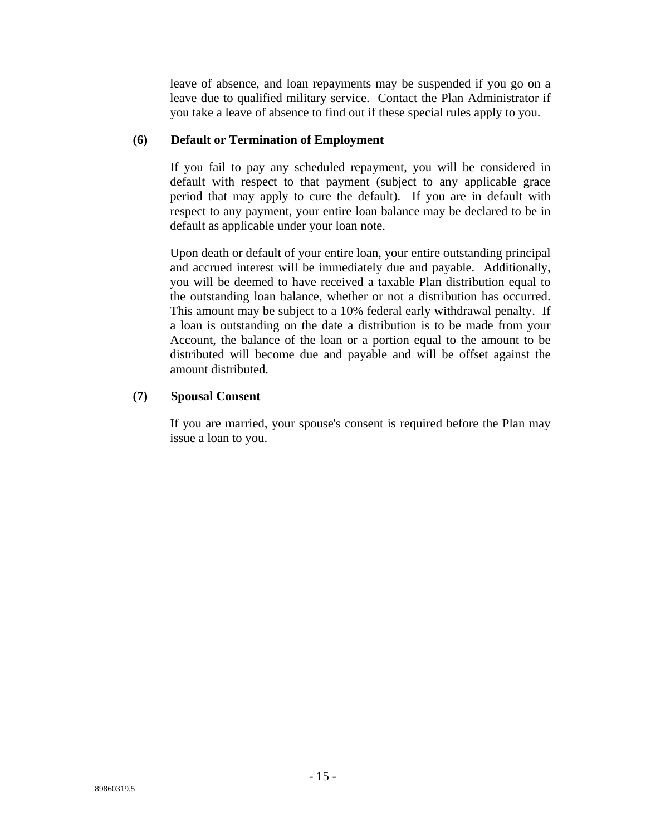leave of absence, and loan repayments may be suspended if you go on a leave due to qualified military service. Contact the Plan Administrator if you take a leave of absence to find out if these special rules apply to you.

#### **(6) Default or Termination of Employment**

If you fail to pay any scheduled repayment, you will be considered in default with respect to that payment (subject to any applicable grace period that may apply to cure the default). If you are in default with respect to any payment, your entire loan balance may be declared to be in default as applicable under your loan note.

Upon death or default of your entire loan, your entire outstanding principal and accrued interest will be immediately due and payable. Additionally, you will be deemed to have received a taxable Plan distribution equal to the outstanding loan balance, whether or not a distribution has occurred. This amount may be subject to a 10% federal early withdrawal penalty. If a loan is outstanding on the date a distribution is to be made from your Account, the balance of the loan or a portion equal to the amount to be distributed will become due and payable and will be offset against the amount distributed.

# **(7) Spousal Consent**

If you are married, your spouse's consent is required before the Plan may issue a loan to you.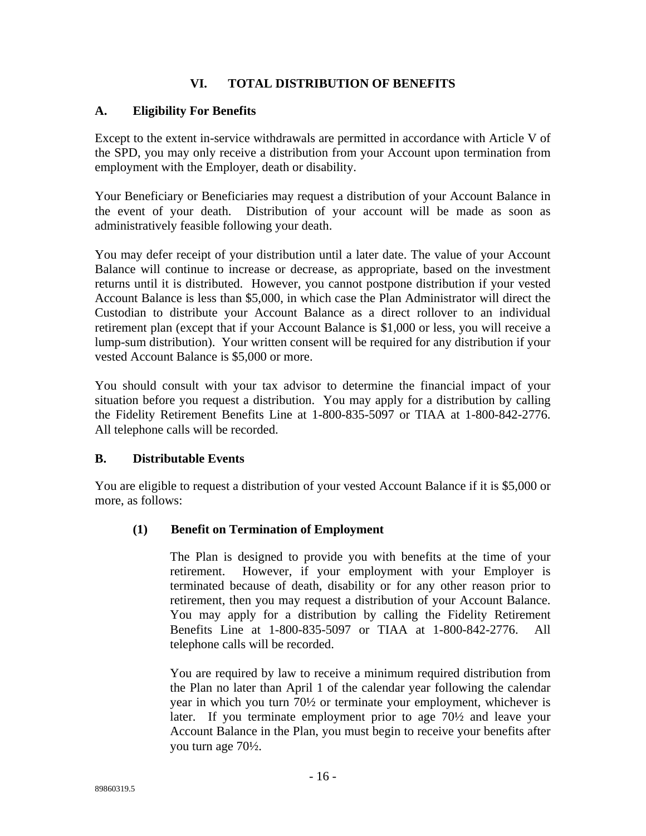# **VI. TOTAL DISTRIBUTION OF BENEFITS**

## **A. Eligibility For Benefits**

Except to the extent in-service withdrawals are permitted in accordance with Article V of the SPD, you may only receive a distribution from your Account upon termination from employment with the Employer, death or disability.

Your Beneficiary or Beneficiaries may request a distribution of your Account Balance in the event of your death. Distribution of your account will be made as soon as administratively feasible following your death.

You may defer receipt of your distribution until a later date. The value of your Account Balance will continue to increase or decrease, as appropriate, based on the investment returns until it is distributed. However, you cannot postpone distribution if your vested Account Balance is less than \$5,000, in which case the Plan Administrator will direct the Custodian to distribute your Account Balance as a direct rollover to an individual retirement plan (except that if your Account Balance is \$1,000 or less, you will receive a lump-sum distribution). Your written consent will be required for any distribution if your vested Account Balance is \$5,000 or more.

You should consult with your tax advisor to determine the financial impact of your situation before you request a distribution. You may apply for a distribution by calling the Fidelity Retirement Benefits Line at 1-800-835-5097 or TIAA at 1-800-842-2776. All telephone calls will be recorded.

# **B. Distributable Events**

You are eligible to request a distribution of your vested Account Balance if it is \$5,000 or more, as follows:

# **(1) Benefit on Termination of Employment**

The Plan is designed to provide you with benefits at the time of your retirement. However, if your employment with your Employer is terminated because of death, disability or for any other reason prior to retirement, then you may request a distribution of your Account Balance. You may apply for a distribution by calling the Fidelity Retirement Benefits Line at 1-800-835-5097 or TIAA at 1-800-842-2776. All telephone calls will be recorded.

You are required by law to receive a minimum required distribution from the Plan no later than April 1 of the calendar year following the calendar year in which you turn 70½ or terminate your employment, whichever is later. If you terminate employment prior to age 70½ and leave your Account Balance in the Plan, you must begin to receive your benefits after you turn age 70½.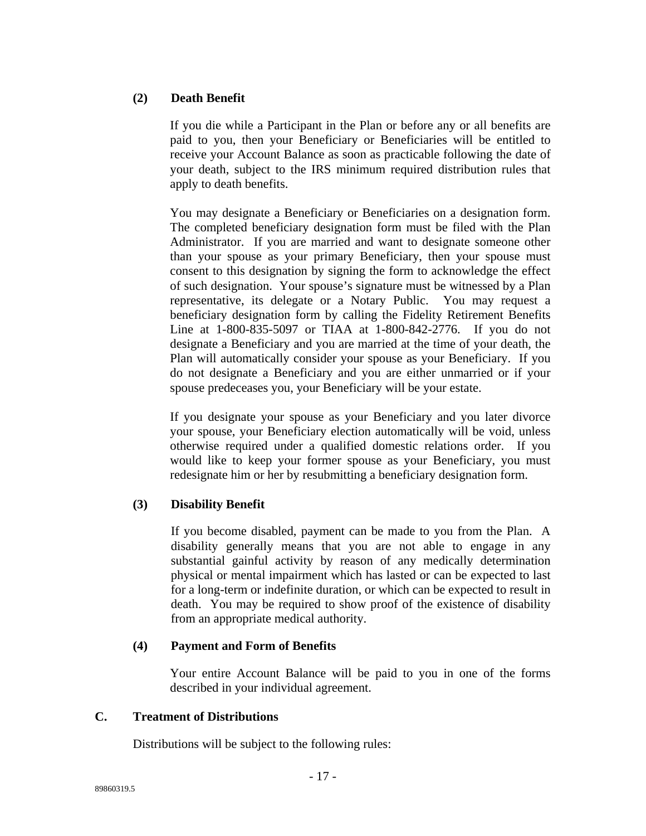# **(2) Death Benefit**

If you die while a Participant in the Plan or before any or all benefits are paid to you, then your Beneficiary or Beneficiaries will be entitled to receive your Account Balance as soon as practicable following the date of your death, subject to the IRS minimum required distribution rules that apply to death benefits.

You may designate a Beneficiary or Beneficiaries on a designation form. The completed beneficiary designation form must be filed with the Plan Administrator. If you are married and want to designate someone other than your spouse as your primary Beneficiary, then your spouse must consent to this designation by signing the form to acknowledge the effect of such designation. Your spouse's signature must be witnessed by a Plan representative, its delegate or a Notary Public. You may request a beneficiary designation form by calling the Fidelity Retirement Benefits Line at 1-800-835-5097 or TIAA at 1-800-842-2776. If you do not designate a Beneficiary and you are married at the time of your death, the Plan will automatically consider your spouse as your Beneficiary. If you do not designate a Beneficiary and you are either unmarried or if your spouse predeceases you, your Beneficiary will be your estate.

If you designate your spouse as your Beneficiary and you later divorce your spouse, your Beneficiary election automatically will be void, unless otherwise required under a qualified domestic relations order. If you would like to keep your former spouse as your Beneficiary, you must redesignate him or her by resubmitting a beneficiary designation form.

#### **(3) Disability Benefit**

If you become disabled, payment can be made to you from the Plan. A disability generally means that you are not able to engage in any substantial gainful activity by reason of any medically determination physical or mental impairment which has lasted or can be expected to last for a long-term or indefinite duration, or which can be expected to result in death. You may be required to show proof of the existence of disability from an appropriate medical authority.

#### **(4) Payment and Form of Benefits**

Your entire Account Balance will be paid to you in one of the forms described in your individual agreement.

#### **C. Treatment of Distributions**

Distributions will be subject to the following rules: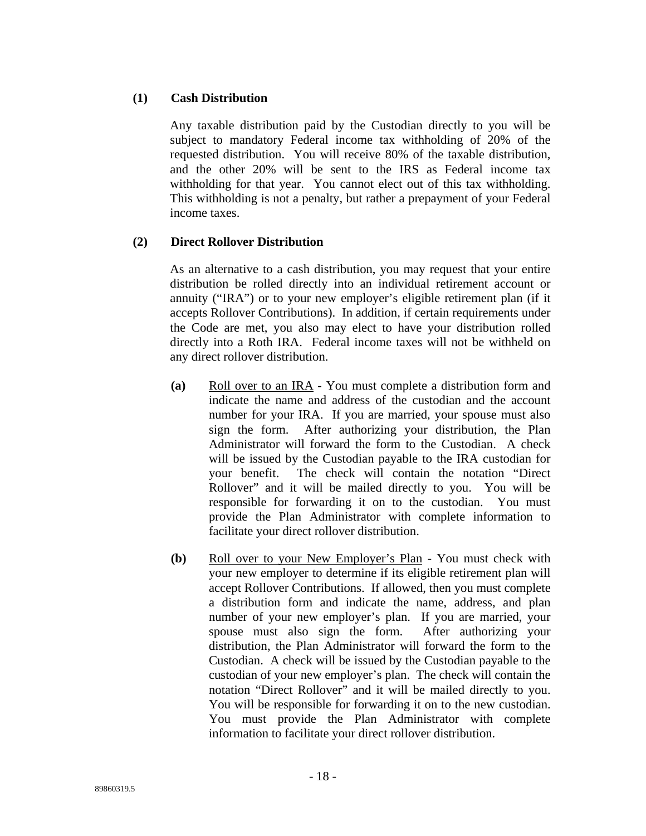# **(1) Cash Distribution**

Any taxable distribution paid by the Custodian directly to you will be subject to mandatory Federal income tax withholding of 20% of the requested distribution. You will receive 80% of the taxable distribution, and the other 20% will be sent to the IRS as Federal income tax withholding for that year. You cannot elect out of this tax withholding. This withholding is not a penalty, but rather a prepayment of your Federal income taxes.

## **(2) Direct Rollover Distribution**

As an alternative to a cash distribution, you may request that your entire distribution be rolled directly into an individual retirement account or annuity ("IRA") or to your new employer's eligible retirement plan (if it accepts Rollover Contributions). In addition, if certain requirements under the Code are met, you also may elect to have your distribution rolled directly into a Roth IRA. Federal income taxes will not be withheld on any direct rollover distribution.

- **(a)** Roll over to an IRA You must complete a distribution form and indicate the name and address of the custodian and the account number for your IRA. If you are married, your spouse must also sign the form. After authorizing your distribution, the Plan Administrator will forward the form to the Custodian. A check will be issued by the Custodian payable to the IRA custodian for your benefit. The check will contain the notation "Direct Rollover" and it will be mailed directly to you. You will be responsible for forwarding it on to the custodian. You must provide the Plan Administrator with complete information to facilitate your direct rollover distribution.
- **(b)** Roll over to your New Employer's Plan You must check with your new employer to determine if its eligible retirement plan will accept Rollover Contributions. If allowed, then you must complete a distribution form and indicate the name, address, and plan number of your new employer's plan. If you are married, your spouse must also sign the form. After authorizing your distribution, the Plan Administrator will forward the form to the Custodian. A check will be issued by the Custodian payable to the custodian of your new employer's plan. The check will contain the notation "Direct Rollover" and it will be mailed directly to you. You will be responsible for forwarding it on to the new custodian. You must provide the Plan Administrator with complete information to facilitate your direct rollover distribution.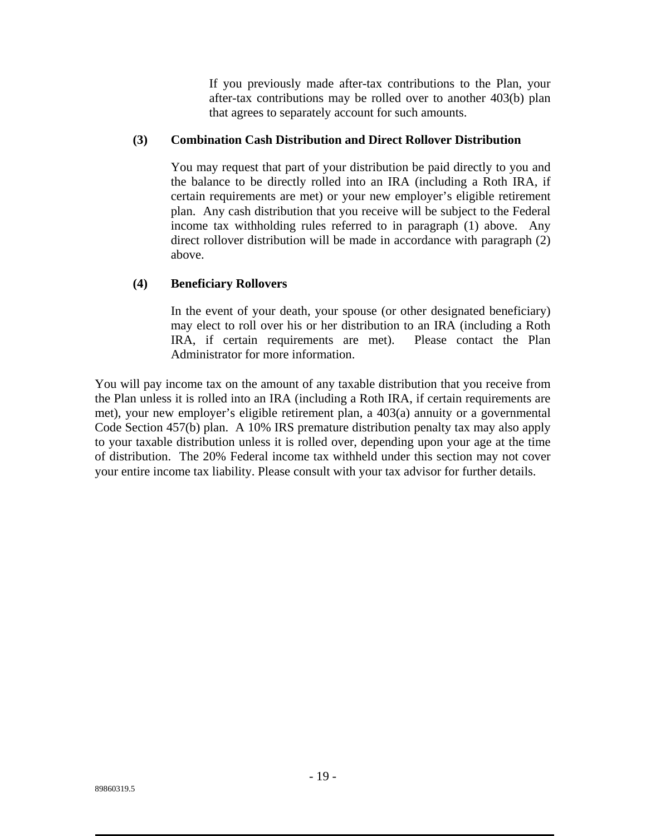If you previously made after-tax contributions to the Plan, your after-tax contributions may be rolled over to another 403(b) plan that agrees to separately account for such amounts.

#### **(3) Combination Cash Distribution and Direct Rollover Distribution**

You may request that part of your distribution be paid directly to you and the balance to be directly rolled into an IRA (including a Roth IRA, if certain requirements are met) or your new employer's eligible retirement plan. Any cash distribution that you receive will be subject to the Federal income tax withholding rules referred to in paragraph (1) above. Any direct rollover distribution will be made in accordance with paragraph (2) above.

## **(4) Beneficiary Rollovers**

In the event of your death, your spouse (or other designated beneficiary) may elect to roll over his or her distribution to an IRA (including a Roth IRA, if certain requirements are met). Please contact the Plan Administrator for more information.

You will pay income tax on the amount of any taxable distribution that you receive from the Plan unless it is rolled into an IRA (including a Roth IRA, if certain requirements are met), your new employer's eligible retirement plan, a 403(a) annuity or a governmental Code Section 457(b) plan. A 10% IRS premature distribution penalty tax may also apply to your taxable distribution unless it is rolled over, depending upon your age at the time of distribution. The 20% Federal income tax withheld under this section may not cover your entire income tax liability. Please consult with your tax advisor for further details.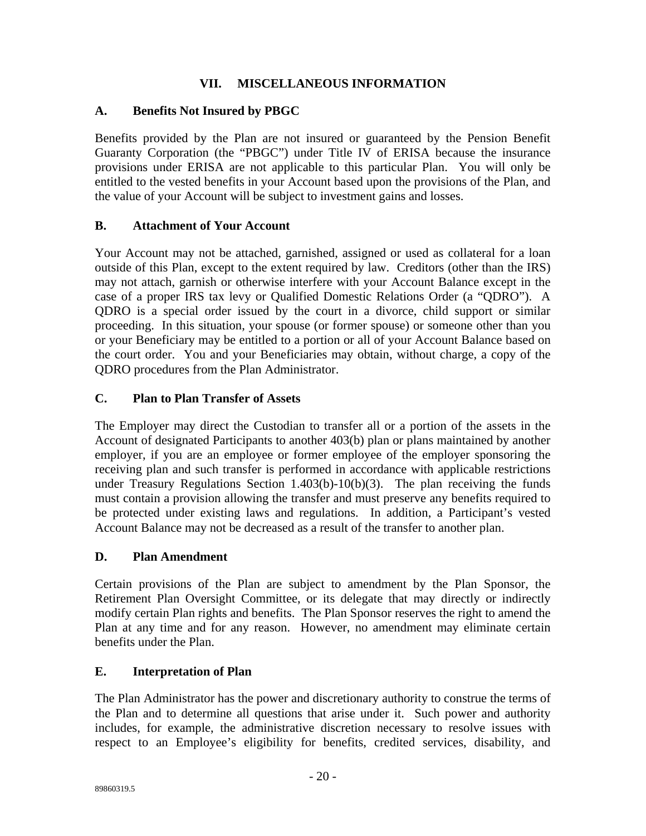# **VII. MISCELLANEOUS INFORMATION**

# **A. Benefits Not Insured by PBGC**

Benefits provided by the Plan are not insured or guaranteed by the Pension Benefit Guaranty Corporation (the "PBGC") under Title IV of ERISA because the insurance provisions under ERISA are not applicable to this particular Plan. You will only be entitled to the vested benefits in your Account based upon the provisions of the Plan, and the value of your Account will be subject to investment gains and losses.

## **B. Attachment of Your Account**

Your Account may not be attached, garnished, assigned or used as collateral for a loan outside of this Plan, except to the extent required by law. Creditors (other than the IRS) may not attach, garnish or otherwise interfere with your Account Balance except in the case of a proper IRS tax levy or Qualified Domestic Relations Order (a "QDRO"). A QDRO is a special order issued by the court in a divorce, child support or similar proceeding. In this situation, your spouse (or former spouse) or someone other than you or your Beneficiary may be entitled to a portion or all of your Account Balance based on the court order. You and your Beneficiaries may obtain, without charge, a copy of the QDRO procedures from the Plan Administrator.

## **C. Plan to Plan Transfer of Assets**

The Employer may direct the Custodian to transfer all or a portion of the assets in the Account of designated Participants to another 403(b) plan or plans maintained by another employer, if you are an employee or former employee of the employer sponsoring the receiving plan and such transfer is performed in accordance with applicable restrictions under Treasury Regulations Section 1.403(b)-10(b)(3). The plan receiving the funds must contain a provision allowing the transfer and must preserve any benefits required to be protected under existing laws and regulations. In addition, a Participant's vested Account Balance may not be decreased as a result of the transfer to another plan.

# **D. Plan Amendment**

Certain provisions of the Plan are subject to amendment by the Plan Sponsor, the Retirement Plan Oversight Committee, or its delegate that may directly or indirectly modify certain Plan rights and benefits. The Plan Sponsor reserves the right to amend the Plan at any time and for any reason. However, no amendment may eliminate certain benefits under the Plan.

# **E. Interpretation of Plan**

The Plan Administrator has the power and discretionary authority to construe the terms of the Plan and to determine all questions that arise under it. Such power and authority includes, for example, the administrative discretion necessary to resolve issues with respect to an Employee's eligibility for benefits, credited services, disability, and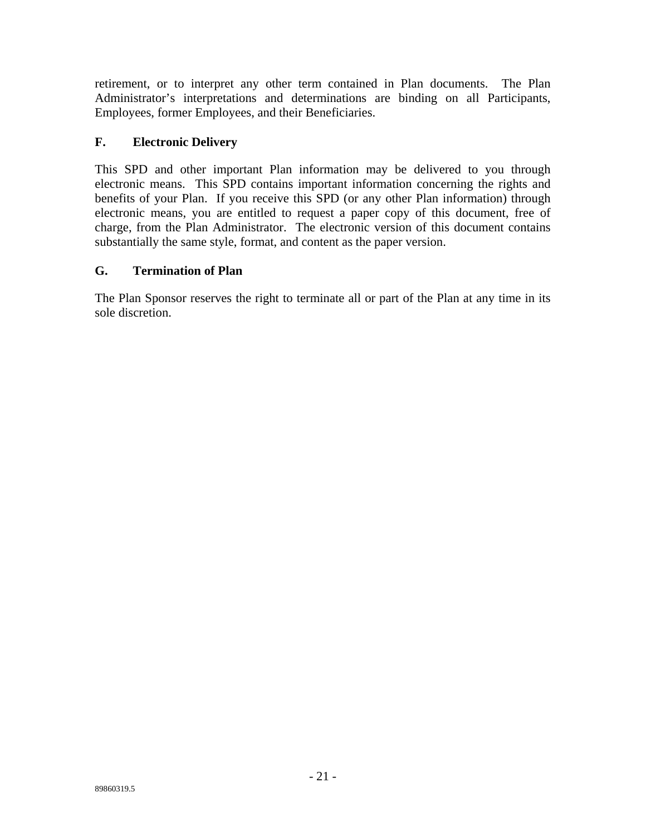retirement, or to interpret any other term contained in Plan documents. The Plan Administrator's interpretations and determinations are binding on all Participants, Employees, former Employees, and their Beneficiaries.

# **F. Electronic Delivery**

This SPD and other important Plan information may be delivered to you through electronic means. This SPD contains important information concerning the rights and benefits of your Plan. If you receive this SPD (or any other Plan information) through electronic means, you are entitled to request a paper copy of this document, free of charge, from the Plan Administrator. The electronic version of this document contains substantially the same style, format, and content as the paper version.

# **G. Termination of Plan**

The Plan Sponsor reserves the right to terminate all or part of the Plan at any time in its sole discretion.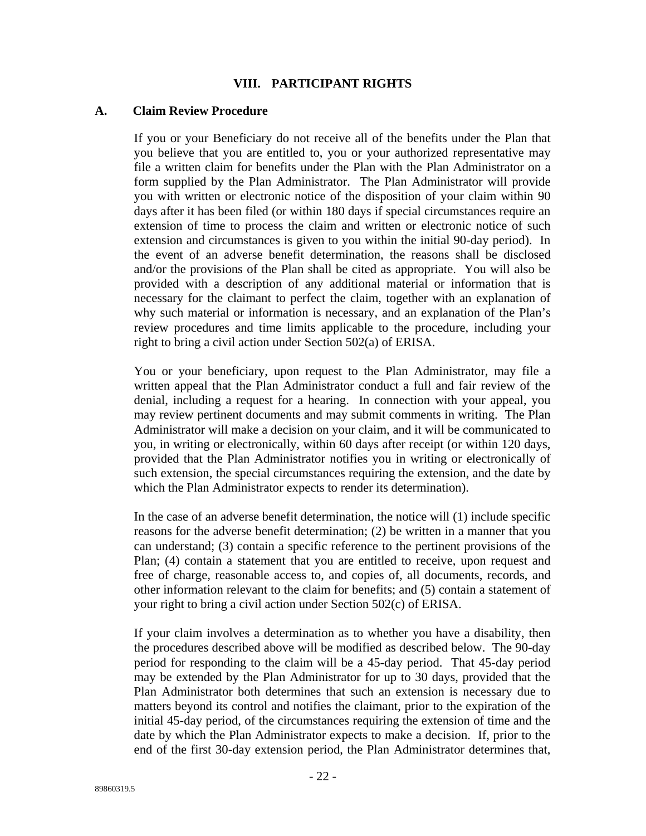#### **VIII. PARTICIPANT RIGHTS**

#### **A. Claim Review Procedure**

If you or your Beneficiary do not receive all of the benefits under the Plan that you believe that you are entitled to, you or your authorized representative may file a written claim for benefits under the Plan with the Plan Administrator on a form supplied by the Plan Administrator. The Plan Administrator will provide you with written or electronic notice of the disposition of your claim within 90 days after it has been filed (or within 180 days if special circumstances require an extension of time to process the claim and written or electronic notice of such extension and circumstances is given to you within the initial 90-day period). In the event of an adverse benefit determination, the reasons shall be disclosed and/or the provisions of the Plan shall be cited as appropriate. You will also be provided with a description of any additional material or information that is necessary for the claimant to perfect the claim, together with an explanation of why such material or information is necessary, and an explanation of the Plan's review procedures and time limits applicable to the procedure, including your right to bring a civil action under Section 502(a) of ERISA.

You or your beneficiary, upon request to the Plan Administrator, may file a written appeal that the Plan Administrator conduct a full and fair review of the denial, including a request for a hearing. In connection with your appeal, you may review pertinent documents and may submit comments in writing. The Plan Administrator will make a decision on your claim, and it will be communicated to you, in writing or electronically, within 60 days after receipt (or within 120 days, provided that the Plan Administrator notifies you in writing or electronically of such extension, the special circumstances requiring the extension, and the date by which the Plan Administrator expects to render its determination).

In the case of an adverse benefit determination, the notice will (1) include specific reasons for the adverse benefit determination; (2) be written in a manner that you can understand; (3) contain a specific reference to the pertinent provisions of the Plan; (4) contain a statement that you are entitled to receive, upon request and free of charge, reasonable access to, and copies of, all documents, records, and other information relevant to the claim for benefits; and (5) contain a statement of your right to bring a civil action under Section 502(c) of ERISA.

If your claim involves a determination as to whether you have a disability, then the procedures described above will be modified as described below. The 90-day period for responding to the claim will be a 45-day period. That 45-day period may be extended by the Plan Administrator for up to 30 days, provided that the Plan Administrator both determines that such an extension is necessary due to matters beyond its control and notifies the claimant, prior to the expiration of the initial 45-day period, of the circumstances requiring the extension of time and the date by which the Plan Administrator expects to make a decision. If, prior to the end of the first 30-day extension period, the Plan Administrator determines that,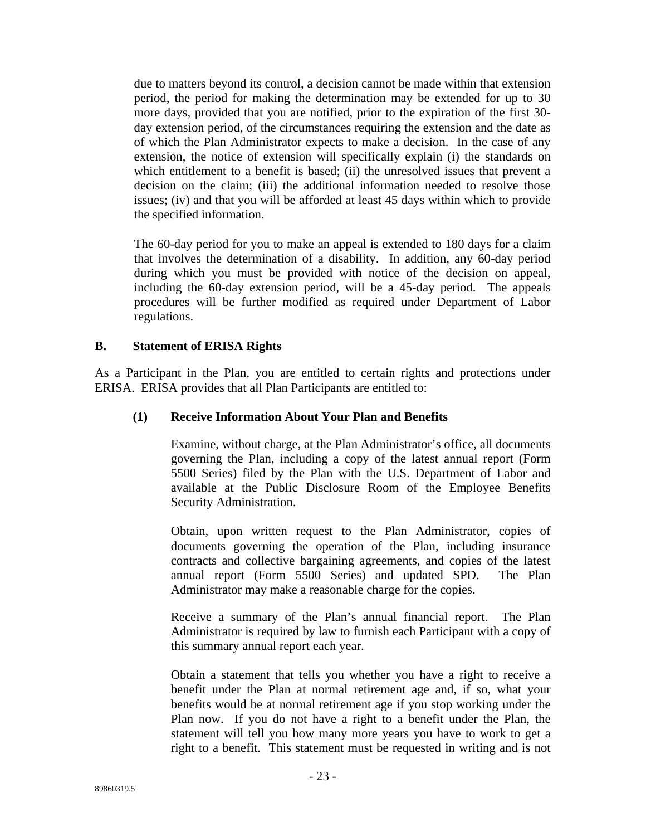due to matters beyond its control, a decision cannot be made within that extension period, the period for making the determination may be extended for up to 30 more days, provided that you are notified, prior to the expiration of the first 30 day extension period, of the circumstances requiring the extension and the date as of which the Plan Administrator expects to make a decision. In the case of any extension, the notice of extension will specifically explain (i) the standards on which entitlement to a benefit is based; (ii) the unresolved issues that prevent a decision on the claim; (iii) the additional information needed to resolve those issues; (iv) and that you will be afforded at least 45 days within which to provide the specified information.

The 60-day period for you to make an appeal is extended to 180 days for a claim that involves the determination of a disability. In addition, any 60-day period during which you must be provided with notice of the decision on appeal, including the 60-day extension period, will be a 45-day period. The appeals procedures will be further modified as required under Department of Labor regulations.

#### **B. Statement of ERISA Rights**

As a Participant in the Plan, you are entitled to certain rights and protections under ERISA. ERISA provides that all Plan Participants are entitled to:

#### **(1) Receive Information About Your Plan and Benefits**

Examine, without charge, at the Plan Administrator's office, all documents governing the Plan, including a copy of the latest annual report (Form 5500 Series) filed by the Plan with the U.S. Department of Labor and available at the Public Disclosure Room of the Employee Benefits Security Administration.

Obtain, upon written request to the Plan Administrator, copies of documents governing the operation of the Plan, including insurance contracts and collective bargaining agreements, and copies of the latest annual report (Form 5500 Series) and updated SPD. The Plan Administrator may make a reasonable charge for the copies.

Receive a summary of the Plan's annual financial report. The Plan Administrator is required by law to furnish each Participant with a copy of this summary annual report each year.

Obtain a statement that tells you whether you have a right to receive a benefit under the Plan at normal retirement age and, if so, what your benefits would be at normal retirement age if you stop working under the Plan now. If you do not have a right to a benefit under the Plan, the statement will tell you how many more years you have to work to get a right to a benefit. This statement must be requested in writing and is not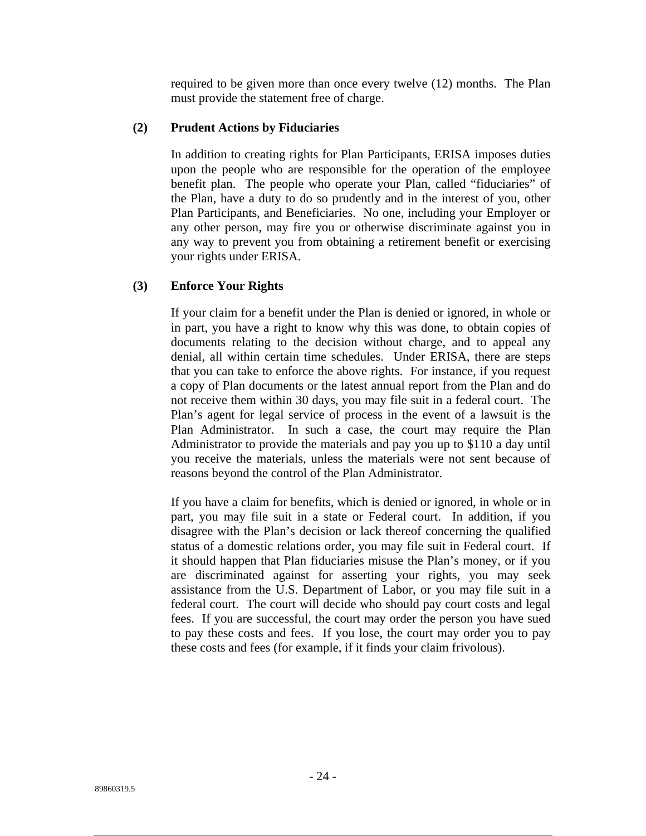required to be given more than once every twelve (12) months. The Plan must provide the statement free of charge.

## **(2) Prudent Actions by Fiduciaries**

In addition to creating rights for Plan Participants, ERISA imposes duties upon the people who are responsible for the operation of the employee benefit plan. The people who operate your Plan, called "fiduciaries" of the Plan, have a duty to do so prudently and in the interest of you, other Plan Participants, and Beneficiaries. No one, including your Employer or any other person, may fire you or otherwise discriminate against you in any way to prevent you from obtaining a retirement benefit or exercising your rights under ERISA.

## **(3) Enforce Your Rights**

If your claim for a benefit under the Plan is denied or ignored, in whole or in part, you have a right to know why this was done, to obtain copies of documents relating to the decision without charge, and to appeal any denial, all within certain time schedules. Under ERISA, there are steps that you can take to enforce the above rights. For instance, if you request a copy of Plan documents or the latest annual report from the Plan and do not receive them within 30 days, you may file suit in a federal court. The Plan's agent for legal service of process in the event of a lawsuit is the Plan Administrator. In such a case, the court may require the Plan Administrator to provide the materials and pay you up to \$110 a day until you receive the materials, unless the materials were not sent because of reasons beyond the control of the Plan Administrator.

If you have a claim for benefits, which is denied or ignored, in whole or in part, you may file suit in a state or Federal court. In addition, if you disagree with the Plan's decision or lack thereof concerning the qualified status of a domestic relations order, you may file suit in Federal court. If it should happen that Plan fiduciaries misuse the Plan's money, or if you are discriminated against for asserting your rights, you may seek assistance from the U.S. Department of Labor, or you may file suit in a federal court. The court will decide who should pay court costs and legal fees. If you are successful, the court may order the person you have sued to pay these costs and fees. If you lose, the court may order you to pay these costs and fees (for example, if it finds your claim frivolous).